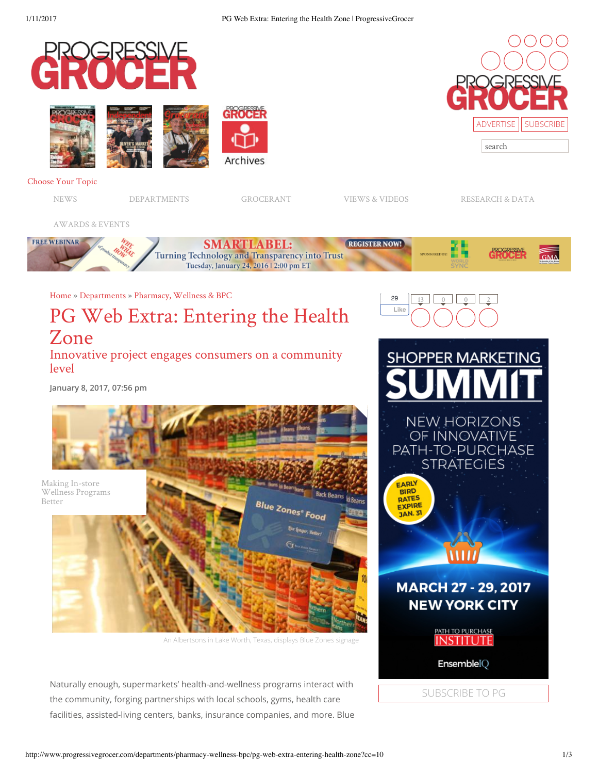

Naturally enough, supermarkets' health-and-wellness programs interact with the community, forging partnerships with local schools, gyms, health care facilities, assisted-living centers, banks, insurance companies, and more. Blue

SUBSCRIBE TO PG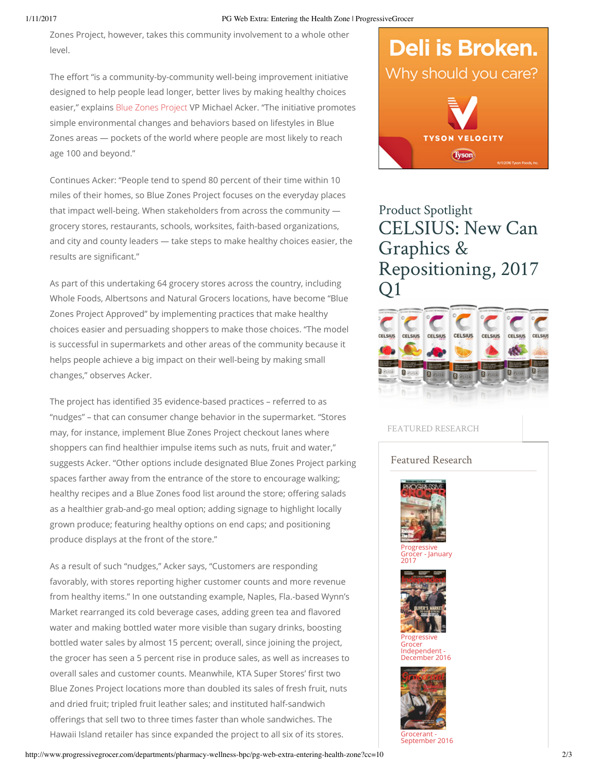#### 1/11/2017 PG Web Extra: Entering the Health Zone | ProgressiveGrocer

Zones Project, however, takes this community involvement to a whole other level.

The effort "is a community-by-community well-being improvement initiative designed to help people lead longer, better lives by making healthy choices easier," explains Blue Zones Project VP Michael Acker. "The initiative promotes simple environmental changes and behaviors based on lifestyles in Blue Zones areas — pockets of the world where people are most likely to reach age 100 and beyond."

Continues Acker: "People tend to spend 80 percent of their time within 10 miles of their homes, so Blue Zones Project focuses on the everyday places that impact well-being. When stakeholders from across the community grocery stores, restaurants, schools, worksites, faith-based organizations, and city and county leaders — take steps to make healthy choices easier, the results are significant."

As part of this undertaking 64 grocery stores across the country, including Whole Foods, Albertsons and Natural Grocers locations, have become "Blue Zones Project Approved" by implementing practices that make healthy choices easier and persuading shoppers to make those choices. "The model is successful in supermarkets and other areas of the community because it helps people achieve a big impact on their well-being by making small changes," observes Acker.

The project has identified 35 evidence-based practices - referred to as "nudges" – that can consumer change behavior in the supermarket. "Stores may, for instance, implement Blue Zones Project checkout lanes where shoppers can find healthier impulse items such as nuts, fruit and water," suggests Acker. "Other options include designated Blue Zones Project parking spaces farther away from the entrance of the store to encourage walking; healthy recipes and a Blue Zones food list around the store; offering salads as a healthier grab-and-go meal option; adding signage to highlight locally grown produce; featuring healthy options on end caps; and positioning produce displays at the front of the store."

As a result of such "nudges," Acker says, "Customers are responding favorably, with stores reporting higher customer counts and more revenue from healthy items." In one outstanding example, Naples, Fla.-based Wynn's Market rearranged its cold beverage cases, adding green tea and flavored water and making bottled water more visible than sugary drinks, boosting bottled water sales by almost 15 percent; overall, since joining the project, the grocer has seen a 5 percent rise in produce sales, as well as increases to overall sales and customer counts. Meanwhile, KTA Super Stores' first two Blue Zones Project locations more than doubled its sales of fresh fruit, nuts and dried fruit; tripled fruit leather sales; and instituted half-sandwich offerings that sell two to three times faster than whole sandwiches. The Hawaii Island retailer has since expanded the project to all six of its stores.



# Product Spotlight CELSIUS: New Can Graphics & Repositioning, 2017  $\Box$ 1



### FEATURED RESEARCH

## Featured Research



**Progressive** - January 2017



Progressive Grocer Independent ecember 2016



Grocerant - September 2016

http://www.progressivegrocer.com/departments/pharmacy-wellness-bpc/pg-web-extra-entering-health-zone?cc=10 2/3